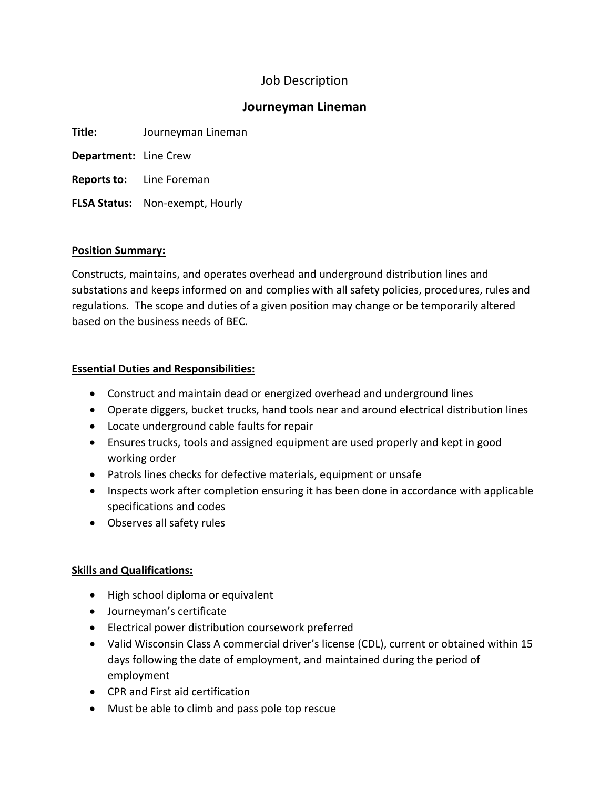# Job Description

## **Journeyman Lineman**

| Title: | Journeyman Lineman |
|--------|--------------------|
|--------|--------------------|

**Department:** Line Crew

**Reports to:** Line Foreman

**FLSA Status:** Non-exempt, Hourly

## **Position Summary:**

Constructs, maintains, and operates overhead and underground distribution lines and substations and keeps informed on and complies with all safety policies, procedures, rules and regulations. The scope and duties of a given position may change or be temporarily altered based on the business needs of BEC.

## **Essential Duties and Responsibilities:**

- Construct and maintain dead or energized overhead and underground lines
- Operate diggers, bucket trucks, hand tools near and around electrical distribution lines
- Locate underground cable faults for repair
- Ensures trucks, tools and assigned equipment are used properly and kept in good working order
- Patrols lines checks for defective materials, equipment or unsafe
- Inspects work after completion ensuring it has been done in accordance with applicable specifications and codes
- Observes all safety rules

## **Skills and Qualifications:**

- High school diploma or equivalent
- Journeyman's certificate
- Electrical power distribution coursework preferred
- Valid Wisconsin Class A commercial driver's license (CDL), current or obtained within 15 days following the date of employment, and maintained during the period of employment
- CPR and First aid certification
- Must be able to climb and pass pole top rescue